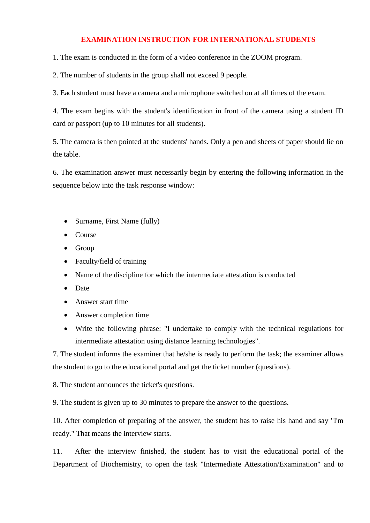## **EXAMINATION INSTRUCTION FOR INTERNATIONAL STUDENTS**

1. The exam is conducted in the form of a video conference in the ZOOM program.

2. The number of students in the group shall not exceed 9 people.

3. Each student must have a camera and a microphone switched on at all times of the exam.

4. The exam begins with the student's identification in front of the camera using a student ID card or passport (up to 10 minutes for all students).

5. The camera is then pointed at the students' hands. Only a pen and sheets of paper should lie on the table.

6. The examination answer must necessarily begin by entering the following information in the sequence below into the task response window:

- Surname, First Name (fully)
- Course
- Group
- Faculty/field of training
- Name of the discipline for which the intermediate attestation is conducted
- Date
- Answer start time
- Answer completion time
- Write the following phrase: "I undertake to comply with the technical regulations for intermediate attestation using distance learning technologies".

7. The student informs the examiner that he/she is ready to perform the task; the examiner allows the student to go to the educational portal and get the ticket number (questions).

8. The student announces the ticket's questions.

9. The student is given up to 30 minutes to prepare the answer to the questions.

10. After completion of preparing of the answer, the student has to raise his hand and say "I'm ready." That means the interview starts.

11. After the interview finished, the student has to visit the educational portal of the Department of Biochemistry, to open the task "Intermediate Attestation/Examination" and to